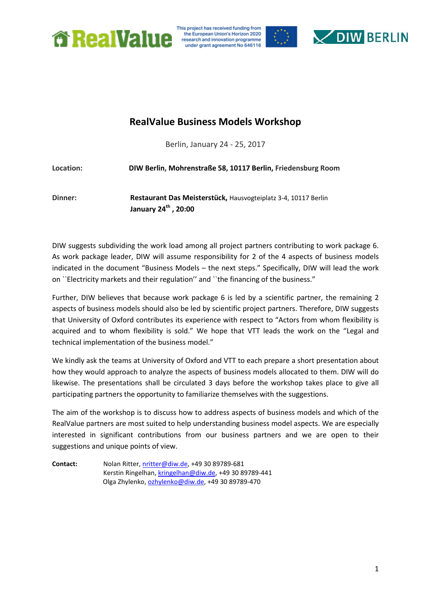

This project has received funding from the European Union's Horizon 2020 research and innovation programme under grant agreement No 646116



# **RealValue Business Models Workshop**

Berlin, January 24 - 25, 2017

**Location: DIW Berlin, Mohrenstraße 58, 10117 Berlin, Friedensburg Room Dinner: Restaurant Das Meisterstück,** Hausvogteiplatz 3-4, 10117 Berlin **January 24th , 20:00**

DIW suggests subdividing the work load among all project partners contributing to work package 6. As work package leader, DIW will assume responsibility for 2 of the 4 aspects of business models indicated in the document "Business Models – the next steps." Specifically, DIW will lead the work on ``Electricity markets and their regulation'' and ``the financing of the business."

Further, DIW believes that because work package 6 is led by a scientific partner, the remaining 2 aspects of business models should also be led by scientific project partners. Therefore, DIW suggests that University of Oxford contributes its experience with respect to "Actors from whom flexibility is acquired and to whom flexibility is sold." We hope that VTT leads the work on the "Legal and technical implementation of the business model."

We kindly ask the teams at University of Oxford and VTT to each prepare a short presentation about how they would approach to analyze the aspects of business models allocated to them. DIW will do likewise. The presentations shall be circulated 3 days before the workshop takes place to give all participating partners the opportunity to familiarize themselves with the suggestions.

The aim of the workshop is to discuss how to address aspects of business models and which of the RealValue partners are most suited to help understanding business model aspects. We are especially interested in significant contributions from our business partners and we are open to their suggestions and unique points of view.

**Contact:** Nolan Ritter, [nritter@diw.de,](mailto:nritter@diw.de) +49 30 89789-681 Kerstin Ringelhan[, kringelhan@diw.de,](mailto:kringelhan@diw.de) +49 30 89789-441 Olga Zhylenko[, ozhylenko@diw.de,](mailto:ozhylenko@diw.de) +49 30 89789-470